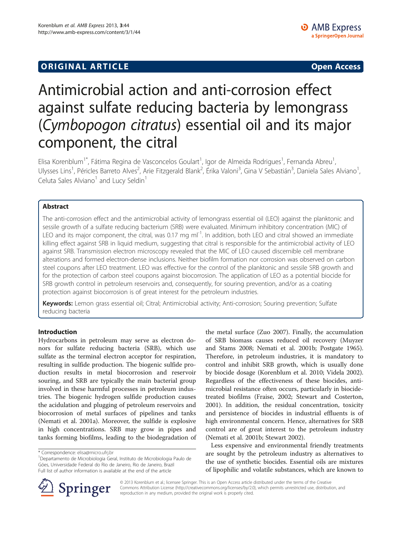## **ORIGINAL ARTICLE CONSUMING A LIGACION CONSUMING A LIGACION CONSUMING A LIGACION**

# Antimicrobial action and anti-corrosion effect against sulfate reducing bacteria by lemongrass (Cymbopogon citratus) essential oil and its major component, the citral

Elisa Korenblum<sup>1\*</sup>, Fátima Regina de Vasconcelos Goulart<sup>1</sup>, Igor de Almeida Rodrigues<sup>1</sup>, Fernanda Abreu<sup>1</sup> , Ulysses Lins<sup>1</sup>, Péricles Barreto Alves<sup>2</sup>, Arie Fitzgerald Blank<sup>2</sup>, Érika Valoni<sup>3</sup>, Gina V Sebastián<sup>3</sup>, Daniela Sales Alviano<sup>1</sup> , Celuta Sales Alviano<sup>1</sup> and Lucy Seldin<sup>1</sup>

## Abstract

The anti-corrosion effect and the antimicrobial activity of lemongrass essential oil (LEO) against the planktonic and sessile growth of a sulfate reducing bacterium (SRB) were evaluated. Minimum inhibitory concentration (MIC) of LEO and its major component, the citral, was 0.17 mg  $ml^{-1}$ . In addition, both LEO and citral showed an immediate killing effect against SRB in liquid medium, suggesting that citral is responsible for the antimicrobial activity of LEO against SRB. Transmission electron microscopy revealed that the MIC of LEO caused discernible cell membrane alterations and formed electron-dense inclusions. Neither biofilm formation nor corrosion was observed on carbon steel coupons after LEO treatment. LEO was effective for the control of the planktonic and sessile SRB growth and for the protection of carbon steel coupons against biocorrosion. The application of LEO as a potential biocide for SRB growth control in petroleum reservoirs and, consequently, for souring prevention, and/or as a coating protection against biocorrosion is of great interest for the petroleum industries.

Keywords: Lemon grass essential oil; Citral; Antimicrobial activity; Anti-corrosion; Souring prevention; Sulfate reducing bacteria

### Introduction

Hydrocarbons in petroleum may serve as electron donors for sulfate reducing bacteria (SRB), which use sulfate as the terminal electron acceptor for respiration, resulting in sulfide production. The biogenic sulfide production results in metal biocorrosion and reservoir souring, and SRB are typically the main bacterial group involved in these harmful processes in petroleum industries. The biogenic hydrogen sulfide production causes the acidulation and plugging of petroleum reservoirs and biocorrosion of metal surfaces of pipelines and tanks (Nemati et al. [2001a\)](#page-7-0). Moreover, the sulfide is explosive in high concentrations. SRB may grow in pipes and tanks forming biofilms, leading to the biodegradation of

the metal surface (Zuo [2007](#page-7-0)). Finally, the accumulation of SRB biomass causes reduced oil recovery (Muyzer and Stams [2008;](#page-7-0) Nemati et al. [2001b](#page-7-0); Postgate [1965](#page-7-0)). Therefore, in petroleum industries, it is mandatory to control and inhibit SRB growth, which is usually done by biocide dosage (Korenblum et al. [2010](#page-6-0); Videla [2002](#page-7-0)). Regardless of the effectiveness of these biocides, antimicrobial resistance often occurs, particularly in biocidetreated biofilms (Fraise, [2002](#page-6-0); Stewart and Costerton, [2001](#page-7-0)). In addition, the residual concentration, toxicity and persistence of biocides in industrial effluents is of high environmental concern. Hence, alternatives for SRB control are of great interest to the petroleum industry (Nemati et al. [2001](#page-7-0)b; Stewart [2002\)](#page-7-0).

Less expensive and environmental friendly treatments are sought by the petroleum industry as alternatives to the use of synthetic biocides. Essential oils are mixtures of lipophilic and volatile substances, which are known to



© 2013 Korenblum et al.; licensee Springer. This is an Open Access article distributed under the terms of the Creative Commons Attribution License (<http://creativecommons.org/licenses/by/2.0>), which permits unrestricted use, distribution, and reproduction in any medium, provided the original work is properly cited.

<sup>\*</sup> Correspondence: [elisa@micro.ufrj.br](mailto:elisa@micro.ufrj.br) <sup>1</sup>

Departamento de Microbiologia Geral, Instituto de Microbiologia Paulo de Góes, Universidade Federal do Rio de Janeiro, Rio de Janeiro, Brazil Full list of author information is available at the end of the article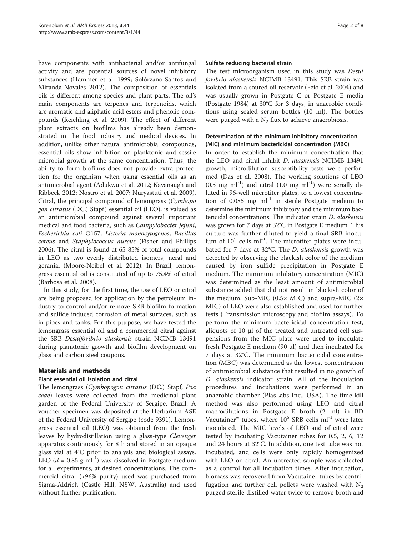have components with antibacterial and/or antifungal activity and are potential sources of novel inhibitory substances (Hammer et al. [1999;](#page-6-0) Solórzano-Santos and Miranda-Novales [2012\)](#page-7-0). The composition of essentials oils is different among species and plant parts. The oil's main components are terpenes and terpenoids, which are aromatic and aliphatic acid esters and phenolic compounds (Reichling et al. [2009](#page-7-0)). The effect of different plant extracts on biofilms has already been demonstrated in the food industry and medical devices. In addition, unlike other natural antimicrobial compounds, essential oils show inhibition on planktonic and sessile microbial growth at the same concentration. Thus, the ability to form biofilms does not provide extra protection for the organism when using essential oils as an antimicrobial agent (Adukwu et al. [2012](#page-6-0); Kavanaugh and Ribbeck [2012](#page-6-0); Nostro et al. [2007](#page-7-0); Nuryastuti et al. [2009](#page-7-0)). Citral, the principal compound of lemongrass (Cymbopo gon citratus (DC.) Stapf) essential oil (LEO), is valued as an antimicrobial compound against several important medical and food bacteria, such as Campylobacter jejuni, Escherichia coli O157, Listeria monocytogenes, Bacillus cereus and Staphylococcus aureus (Fisher and Phillips [2006](#page-6-0)). The citral is found at 65-85% of total compounds in LEO as two evenly distributed isomers, neral and geranial (Moore-Neibel et al. [2012](#page-7-0)). In Brazil, lemongrass essential oil is constituted of up to 75.4% of citral (Barbosa et al. [2008](#page-6-0)).

In this study, for the first time, the use of LEO or citral are being proposed for application by the petroleum industry to control and/or remove SRB biofilm formation and sulfide induced corrosion of metal surfaces, such as in pipes and tanks. For this purpose, we have tested the lemongrass essential oil and a commercial citral against the SRB Desulfovibrio alaskensis strain NCIMB 13491 during planktonic growth and biofilm development on glass and carbon steel coupons.

## Materials and methods

### Plant essential oil isolation and citral

The lemongrass (Cymbopogon citratus (DC.) Stapf, Poa ceae) leaves were collected from the medicinal plant garden of the Federal University of Sergipe, Brazil. A voucher specimen was deposited at the Herbarium-ASE of the Federal University of Sergipe (code 9391). Lemongrass essential oil (LEO) was obtained from the fresh leaves by hydrodistillation using a glass-type Clevenger apparatus continuously for 8 h and stored in an opaque glass vial at 4°C prior to analysis and biological assays. LEO ( $d = 0.85$  g ml<sup>-1</sup>) was dissolved in Postgate medium for all experiments, at desired concentrations. The commercial citral (>96% purity) used was purchased from Sigma-Aldrich (Castle Hill, NSW, Australia) and used without further purification.

#### Sulfate reducing bacterial strain

The test microorganism used in this study was Desul fovibrio alaskensis NCIMB 13491. This SRB strain was isolated from a soured oil reservoir (Feio et al. [2004](#page-6-0)) and was usually grown in Postgate C or Postgate E media (Postgate [1984\)](#page-7-0) at 30°C for 3 days, in anaerobic conditions using sealed serum bottles (10 ml). The bottles were purged with a  $N_2$  flux to achieve anaerobiosis.

## Determination of the minimum inhibitory concentration (MIC) and minimum bactericidal concentration (MBC)

In order to establish the minimum concentration that the LEO and citral inhibit D. alaskensis NCIMB 13491 growth, microdilution susceptibility tests were performed (Das et al. [2008\)](#page-6-0). The working solutions of LEO  $(0.5 \text{ mg ml}^{-1})$  and citral  $(1.0 \text{ mg ml}^{-1})$  were serially diluted in 96-well microtiter plates, to a lowest concentration of 0.085 mg  $ml^{-1}$  in sterile Postgate medium to determine the minimum inhibitory and the minimum bactericidal concentrations. The indicator strain D. alaskensis was grown for 7 days at 32°C in Postgate E medium. This culture was further diluted to yield a final SRB inoculum of  $10^5$  cells ml<sup>-1</sup>. The microtiter plates were incubated for 7 days at 32°C. The D. alaskensis growth was detected by observing the blackish color of the medium caused by iron sulfide precipitation in Postgate E medium. The minimum inhibitory concentration (MIC) was determined as the least amount of antimicrobial substance added that did not result in blackish color of the medium. Sub-MIC  $(0.5 \times$  MIC) and supra-MIC  $(2 \times$ MIC) of LEO were also established and used for further tests (Transmission microscopy and biofilm assays). To perform the minimum bactericidal concentration test, aliquots of 10 μl of the treated and untreated cell suspensions from the MIC plate were used to inoculate fresh Postgate E medium (90 μl) and then incubated for 7 days at 32°C. The minimum bactericidal concentration (MBC) was determined as the lowest concentration of antimicrobial substance that resulted in no growth of D. alaskensis indicator strain. All of the inoculation procedures and incubations were performed in an anaerobic chamber (PlasLabs Inc., USA). The time kill method was also performed using LEO and citral macrodilutions in Postgate E broth (2 ml) in BD Vacutainer™ tubes, where  $10^5$  SRB cells ml<sup>-1</sup> were later inoculated. The MIC levels of LEO and of citral were tested by incubating Vacutainer tubes for 0.5, 2, 6, 12 and 24 hours at 32°C. In addition, one test tube was not incubated, and cells were only rapidly homogenized with LEO or citral. An untreated sample was collected as a control for all incubation times. After incubation, biomass was recovered from Vacutainer tubes by centrifugation and further cell pellets were washed with  $N_2$ purged sterile distilled water twice to remove broth and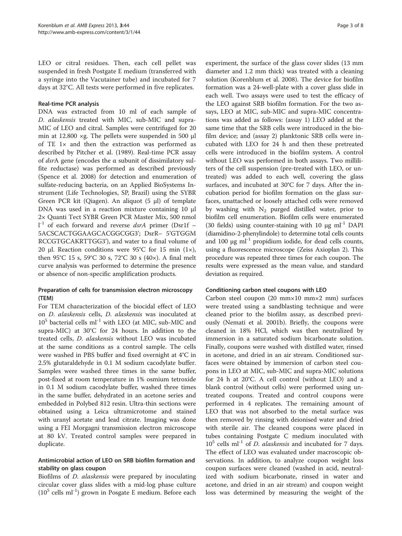LEO or citral residues. Then, each cell pellet was suspended in fresh Postgate E medium (transferred with a syringe into the Vacutainer tube) and incubated for 7 days at 32°C. All tests were performed in five replicates.

#### Real-time PCR analysis

DNA was extracted from 10 ml of each sample of D. alaskensis treated with MIC, sub-MIC and supra-MIC of LEO and citral. Samples were centrifuged for 20 min at 12.800 ×g. The pellets were suspended in 500 μl of TE 1× and then the extraction was performed as described by Pitcher et al. ([1989](#page-7-0)). Real-time PCR assay of dsrA gene (encodes the α subunit of dissimilatory sulfite reductase) was performed as described previously (Spence et al. [2008](#page-7-0)) for detection and enumeration of sulfate-reducing bacteria, on an Applied BioSystems Instrument (Life Technologies, SP, Brazil) using the SYBR Green PCR kit (Qiagen). An aliquot (5 μl) of template DNA was used in a reaction mixture containing 10 μl 2× Quanti Tect SYBR Green PCR Master Mix, 500 nmol 1<sup>-1</sup> of each forward and reverse dsrA primer (Dsr1f -5ACSCACTGGAAGCACGGCGG3'; DsrR– 5'GTGGM RCCGTGCAKRTTGG3'), and water to a final volume of 20 μl. Reaction conditions were 95°C for 15 min  $(1 \times)$ , then 95°C 15 s, 59°C 30 s, 72°C 30 s (40×). A final melt curve analysis was performed to determine the presence or absence of non-specific amplification products.

## Preparation of cells for transmission electron microscopy (TEM)

For TEM characterization of the biocidal effect of LEO on D. alaskensis cells, D. alaskensis was inoculated at  $10^5$  bacterial cells ml<sup>-1</sup> with LEO (at MIC, sub-MIC and supra-MIC) at 30°C for 24 hours. In addition to the treated cells, D. alaskensis without LEO was incubated at the same conditions as a control sample. The cells were washed in PBS buffer and fixed overnight at 4°C in 2.5% glutaraldehyde in 0.1 M sodium cacodylate buffer. Samples were washed three times in the same buffer, post-fixed at room temperature in 1% osmium tetroxide in 0.1 M sodium cacodylate buffer, washed three times in the same buffer, dehydrated in an acetone series and embedded in Polybed 812 resin. Ultra-thin sections were obtained using a Leica ultramicrotome and stained with uranyl acetate and lead citrate. Imaging was done using a FEI Morgagni transmission electron microscope at 80 kV. Treated control samples were prepared in duplicate.

### Antimicrobial action of LEO on SRB biofilm formation and stability on glass coupon

Biofilms of D. alaskensis were prepared by inoculating circular cover glass slides with a mid-log phase culture  $(10^5 \text{ cells ml}^{-1})$  grown in Posgate E medium. Before each

experiment, the surface of the glass cover slides (13 mm diameter and 1.2 mm thick) was treated with a cleaning solution (Korenblum et al. [2008](#page-6-0)). The device for biofilm formation was a 24-well-plate with a cover glass slide in each well. Two assays were used to test the efficacy of the LEO against SRB biofilm formation. For the two assays, LEO at MIC, sub-MIC and supra-MIC concentrations was added as follows: (assay 1) LEO added at the same time that the SRB cells were introduced in the biofilm device; and (assay 2) planktonic SRB cells were incubated with LEO for 24 h and then these pretreated cells were introduced in the biofilm system. A control without LEO was performed in both assays. Two milliliters of the cell suspension (pre-treated with LEO, or untreated) was added to each well, covering the glass surfaces, and incubated at 30°C for 7 days. After the incubation period for biofilm formation on the glass surfaces, unattached or loosely attached cells were removed by washing with  $N_2$  purged distilled water, prior to biofilm cell enumeration. Biofilm cells were enumerated (30 fields) using counter-staining with 10  $\mu$ g ml<sup>-1</sup> DAPI (diamidino-2-phenylindole) to determine total cells counts and 100  $\mu$ g ml<sup>-1</sup> propidium iodide, for dead cells counts, using a fluorescence microscope (Zeiss Axioplan 2). This procedure was repeated three times for each coupon. The results were expressed as the mean value, and standard deviation as required.

### Conditioning carbon steel coupons with LEO

Carbon steel coupon (20 mm×10 mm×2 mm) surfaces were treated using a sandblasting technique and were cleaned prior to the biofilm assay, as described previously (Nemati et al. [2001](#page-7-0)b). Briefly, the coupons were cleaned in 18% HCl, which was then neutralized by immersion in a saturated sodium bicarbonate solution. Finally, coupons were washed with distilled water, rinsed in acetone, and dried in an air stream. Conditioned surfaces were obtained by immersion of carbon steel coupons in LEO at MIC, sub-MIC and supra-MIC solutions for 24 h at 20°C. A cell control (without LEO) and a blank control (without cells) were performed using untreated coupons. Treated and control coupons were performed in 4 replicates. The remaining amount of LEO that was not absorbed to the metal surface was then removed by rinsing with deionised water and dried with sterile air. The cleaned coupons were placed in tubes containing Postgate C medium inoculated with  $10^5$  cells ml<sup>-1</sup> of *D. alaskensis* and incubated for 7 days. The effect of LEO was evaluated under macroscopic observations. In addition, to analyze coupon weight loss coupon surfaces were cleaned (washed in acid, neutralized with sodium bicarbonate, rinsed in water and acetone, and dried in an air stream) and coupon weight loss was determined by measuring the weight of the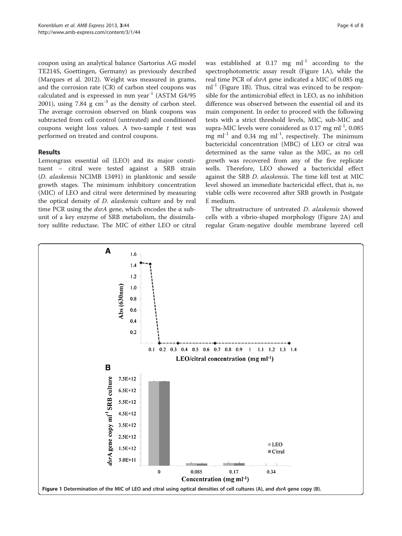coupon using an analytical balance (Sartorius AG model TE214S, Goettingen, Germany) as previously described (Marques et al. [2012\)](#page-7-0). Weight was measured in grams, and the corrosion rate (CR) of carbon steel coupons was calculated and is expressed in mm year<sup>-1</sup> (ASTM G4/95 [2001](#page-6-0)), using 7.84  $g$  cm<sup>-3</sup> as the density of carbon steel. The average corrosion observed on blank coupons was subtracted from cell control (untreated) and conditioned coupons weight loss values. A two-sample  $t$  test was performed on treated and control coupons.

### Results

Lemongrass essential oil (LEO) and its major constituent – citral were tested against a SRB strain (D. alaskensis NCIMB 13491) in planktonic and sessile growth stages. The minimum inhibitory concentration (MIC) of LEO and citral were determined by measuring the optical density of D. alaskensis culture and by real time PCR using the  $dsrA$  gene, which encodes the  $\alpha$  subunit of a key enzyme of SRB metabolism, the dissimilatory sulfite reductase. The MIC of either LEO or citral was established at  $0.17$  mg ml<sup>-1</sup> according to the spectrophotometric assay result (Figure 1A), while the real time PCR of dsrA gene indicated a MIC of 0.085 mg  $ml<sup>-1</sup>$  (Figure 1B). Thus, citral was evinced to be responsible for the antimicrobial effect in LEO, as no inhibition difference was observed between the essential oil and its main component. In order to proceed with the following tests with a strict threshold levels, MIC, sub-MIC and supra-MIC levels were considered as  $0.17$  mg ml<sup>-1</sup>,  $0.085$ mg  $ml^{-1}$  and 0.34 mg  $ml^{-1}$ , respectively. The minimum bactericidal concentration (MBC) of LEO or citral was determined as the same value as the MIC, as no cell growth was recovered from any of the five replicate wells. Therefore, LEO showed a bactericidal effect against the SRB D. alaskensis. The time kill test at MIC level showed an immediate bactericidal effect, that is, no viable cells were recovered after SRB growth in Postgate E medium.

The ultrastructure of untreated *D. alaskensis* showed cells with a vibrio-shaped morphology (Figure [2](#page-4-0)A) and regular Gram-negative double membrane layered cell

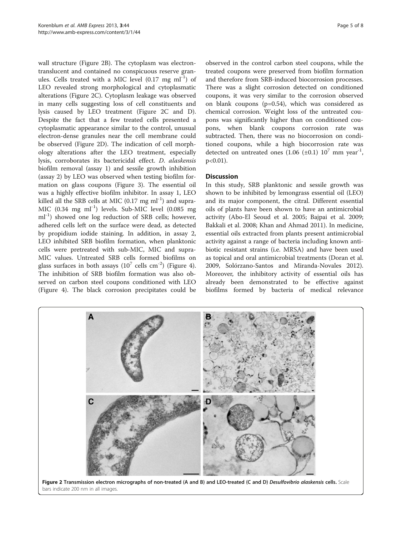<span id="page-4-0"></span>wall structure (Figure 2B). The cytoplasm was electrontranslucent and contained no conspicuous reserve granules. Cells treated with a MIC level  $(0.17 \text{ mg ml}^{-1})$  of LEO revealed strong morphological and cytoplasmatic alterations (Figure 2C). Cytoplasm leakage was observed in many cells suggesting loss of cell constituents and lysis caused by LEO treatment (Figure 2C and D). Despite the fact that a few treated cells presented a cytoplasmatic appearance similar to the control, unusual electron-dense granules near the cell membrane could be observed (Figure 2D). The indication of cell morphology alterations after the LEO treatment, especially lysis, corroborates its bactericidal effect. D. alaskensis biofilm removal (assay 1) and sessile growth inhibition (assay 2) by LEO was observed when testing biofilm formation on glass coupons (Figure [3](#page-5-0)). The essential oil was a highly effective biofilm inhibitor. In assay 1, LEO killed all the SRB cells at MIC  $(0.17 \text{ mg ml}^{-1})$  and supra-MIC  $(0.34 \text{ mg} \text{ ml}^{-1})$  levels. Sub-MIC level  $(0.085 \text{ mg}$  $ml^{-1}$ ) showed one log reduction of SRB cells; however, adhered cells left on the surface were dead, as detected by propidium iodide staining. In addition, in assay 2, LEO inhibited SRB biofilm formation, when planktonic cells were pretreated with sub-MIC, MIC and supra-MIC values. Untreated SRB cells formed biofilms on glass surfaces in both assays  $(10^7 \text{ cells cm}^{-2})$  (Figure [4](#page-5-0)). The inhibition of SRB biofilm formation was also observed on carbon steel coupons conditioned with LEO (Figure [4](#page-5-0)). The black corrosion precipitates could be

observed in the control carbon steel coupons, while the treated coupons were preserved from biofilm formation and therefore from SRB-induced biocorrosion processes. There was a slight corrosion detected on conditioned coupons, it was very similar to the corrosion observed on blank coupons (p=0.54), which was considered as chemical corrosion. Weight loss of the untreated coupons was significantly higher than on conditioned coupons, when blank coupons corrosion rate was subtracted. Then, there was no biocorrosion on conditioned coupons, while a high biocorrosion rate was detected on untreated ones  $(1.06 \text{ } (\pm 0.1) \text{ } 10^7 \text{ mm year}^{-1})$ ,  $p < 0.01$ ).

#### **Discussion**

In this study, SRB planktonic and sessile growth was shown to be inhibited by lemongrass essential oil (LEO) and its major component, the citral. Different essential oils of plants have been shown to have an antimicrobial activity (Abo-El Seoud et al. [2005;](#page-6-0) Bajpai et al. [2009](#page-6-0); Bakkali et al. [2008](#page-6-0); Khan and Ahmad [2011\)](#page-6-0). In medicine, essential oils extracted from plants present antimicrobial activity against a range of bacteria including known antibiotic resistant strains (i.e. MRSA) and have been used as topical and oral antimicrobial treatments (Doran et al. [2009](#page-6-0), Solórzano-Santos and Miranda-Novales [2012](#page-7-0)). Moreover, the inhibitory activity of essential oils has already been demonstrated to be effective against biofilms formed by bacteria of medical relevance

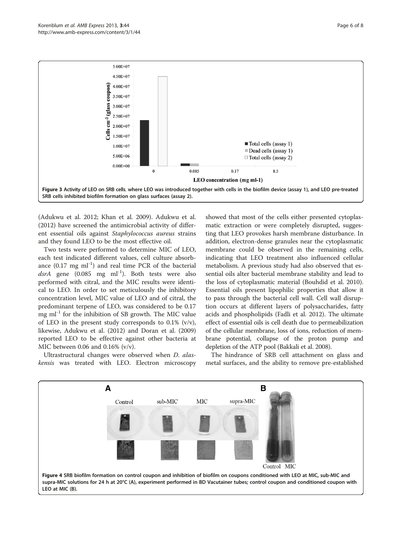<span id="page-5-0"></span>

(Adukwu et al. [2012;](#page-6-0) Khan et al. [2009](#page-6-0)). Adukwu et al. ([2012](#page-6-0)) have screened the antimicrobial activity of different essential oils against Staphylococcus aureus strains and they found LEO to be the most effective oil.

Two tests were performed to determine MIC of LEO, each test indicated different values, cell culture absorbance  $(0.17 \text{ mg } \text{m} \text{l}^{-1})$  and real time PCR of the bacterial dsrA gene  $(0.085 \text{ mg} \text{ ml}^{-1})$ . Both tests were also performed with citral, and the MIC results were identical to LEO. In order to set meticulously the inhibitory concentration level, MIC value of LEO and of citral, the predominant terpene of LEO, was considered to be 0.17 mg  $ml^{-1}$  for the inhibition of SB growth. The MIC value of LEO in the present study corresponds to  $0.1\%$  (v/v), likewise, Adukwu et al. ([2012](#page-6-0)) and Doran et al. ([2009](#page-6-0)) reported LEO to be effective against other bacteria at MIC between 0.06 and 0.16% (v/v).

Ultrastructural changes were observed when D. alaskensis was treated with LEO. Electron microscopy showed that most of the cells either presented cytoplasmatic extraction or were completely disrupted, suggesting that LEO provokes harsh membrane disturbance. In addition, electron-dense granules near the cytoplasmatic membrane could be observed in the remaining cells, indicating that LEO treatment also influenced cellular metabolism. A previous study had also observed that essential oils alter bacterial membrane stability and lead to the loss of cytoplasmatic material (Bouhdid et al. [2010](#page-6-0)). Essential oils present lipophilic properties that allow it to pass through the bacterial cell wall. Cell wall disruption occurs at different layers of polysaccharides, fatty acids and phospholipids (Fadli et al. [2012\)](#page-6-0). The ultimate effect of essential oils is cell death due to permeabilization of the cellular membrane, loss of ions, reduction of membrane potential, collapse of the proton pump and depletion of the ATP pool (Bakkali et al. [2008\)](#page-6-0).

The hindrance of SRB cell attachment on glass and metal surfaces, and the ability to remove pre-established

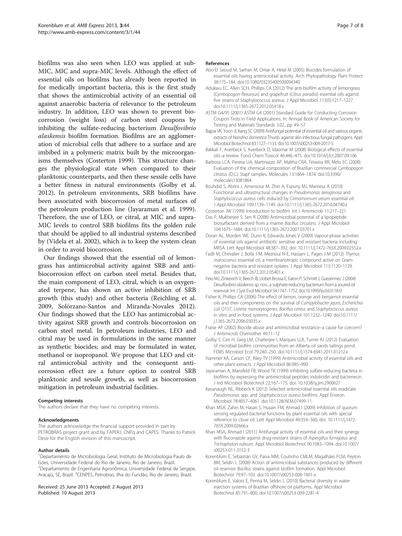<span id="page-6-0"></span>biofilms was also seen when LEO was applied at sub-MIC, MIC and supra-MIC levels. Although the effect of essential oils on biofilms has already been reported in for medically important bacteria, this is the first study that shows the antimicrobial activity of an essential oil against anaerobic bacteria of relevance to the petroleum industry. In addition, LEO was shown to prevent biocorrosion (weight loss) of carbon steel coupons by inhibiting the sulfate-reducing bacterium Desulfovibrio alaskensis biofilm formation. Biofilms are an agglomeration of microbial cells that adhere to a surface and are imbibed in a polymeric matrix built by the microorganisms themselves (Costerton 1999). This structure changes the physiological state when compared to their planktonic counterparts, and then these sessile cells have a better fitness in natural environments (Golby et al. 2012). In petroleum environments, SRB biofilms have been associated with biocorrosion of metal surfaces of the petroleum production line (Jayaraman et al. 1999). Therefore, the use of LEO, or citral, at MIC and supra-MIC levels to control SRB biofilms fits the golden rule that should be applied to all industrial systems described by (Videla et al. [2002\)](#page-7-0), which is to keep the system clean in order to avoid biocorrosion.

Our findings showed that the essential oil of lemongrass has antimicrobial activity against SRB and antibiocorrosion effect on carbon steel metal. Besides that, the main component of LEO, citral, which is an oxygenated terpene, has shown an active inhibition of SRB growth (this study) and other bacteria (Reichling et al. [2009](#page-7-0), Solórzano-Santos and Miranda-Novales [2012](#page-7-0)). Our findings showed that the LEO has antimicrobial activity against SRB growth and controls biocorrosion on carbon steel metal. In petroleum industries, LEO and citral may be used in formulations in the same manner as synthetic biocides; and may be formulated in water, methanol or isopropanol. We propose that LEO and citral antimicrobial activity and the consequent anticorrosion effect are a future option to control SRB planktonic and sessile growth, as well as biocorrosion mitigation in petroleum industrial facilities.

#### Competing interests

The authors declare that they have no competing interests.

#### Acknowledgments

The authors acknowledge the financial support provided in part by PETROBRAS project grant and by FAPERJ, CNPq and CAPES. Thanks to Patrick Dessi for the English revision of this manuscript.

#### Author details

<sup>1</sup>Departamento de Microbiologia Geral, Instituto de Microbiologia Paulo de Góes, Universidade Federal do Rio de Janeiro, Rio de Janeiro, Brazil. 2 Departamento de Engenharia Agronômica, Universidade Federal de Sergipe, Aracajú, SE, Brazil. <sup>3</sup>CENPES, Petrobras, Ilha do Fundão, Rio de Janeiro, Brazil.

Received: 25 June 2013 Accepted: 2 August 2013 Published: 10 August 2013

#### References

- Abo-El Seoud M, Sarhan M, Omar A, Helal M (2005) Biocides formulation of essential oils having antimicrobial activity. Arch Phytopathology Plant Protect 38:175–184. doi[:10.1080/03235400500094340](http://dx.doi.org/10.1080/03235400500094340)
- Adukwu EC, Allen SCH, Phillips CA (2012) The anti-biofilm activity of lemongrass (Cymbopogon flexuosus) and grapefruit (Citrus paradisi) essential oils against five strains of Staphylococcus aureus. J Appl Microbiol 113(5):1217–1227. doi[:10.1111/j.1365-2672.2012.05418.x](http://dx.doi.org/10.1111/j.1365-2672.2012.05418.x)
- ASTM G4/95 (2001) ASTM G4 (2001) Standard Guide for Conducting Corrosion Coupon Tests in Field Applications. In: Annual Book of American Society for Testing and Materials Standards 3.02., pp 49–57
- Bajpai VK, Yoon JI, Kang SC (2009) Antifungal potential of essential oil and various organic extracts of Nandina domestica Thunb. against skin infectious fungal pathogens. Appl Microbiol Biotechnol 83:1127–1133. doi[:10.1007/s00253-009-2017-5](http://dx.doi.org/10.1007/s00253-009-2017-5)
- Bakkali F, Averbeck S, Averbeck D, Idaomar M (2008) Biological effects of essential oils–a review. Food Chem Toxicol 46:446–475. doi:[10.1016/j.fct.2007.09.106](http://dx.doi.org/10.1016/j.fct.2007.09.106)
- Barbosa LCA, Pereira UA, Martinazzo AP, Maltha CRA, Teixeira RR, Melo EC (2008) Evaluation of the chemical composition of Brazilian commercial Cymbopogon citratus (D.C.) Stapf samples. Molecules 13:1864–1874. doi[:10.3390/](http://dx.doi.org/10.3390/molecules13081864) [molecules13081864](http://dx.doi.org/10.3390/molecules13081864)
- Bouhdid S, Abrini J, Amensour M, Zhiri A, Espuny MJ, Manresa A (2010) Functional and ultrastructural changes in Pseudomonas aeruginosa and Staphylococcus aureus cells induced by Cinnamomum verum essential oil. J Appl Microbiol 109:1139–1149. doi[:10.1111/j.1365-2672.2010.04740.x](http://dx.doi.org/10.1111/j.1365-2672.2010.04740.x)
- Costerton JW (1999) Introduction to biofilm. Int J Antimicrob 11:217–221 Das P, Mukherjee S, Sen R (2008) Antimicrobial potential of a lipopeptide
- biosurfactant derived from a marine Bacillus circulans. J Appl Microbiol 104:1675–1684. doi:[10.1111/j.1365-2672.2007.03701.x](http://dx.doi.org/10.1111/j.1365-2672.2007.03701.x)
- Doran AL, Morden WE, Dunn K, Edwards-Jones V (2009) Vapour-phase activities of essential oils against antibiotic sensitive and resistant bacteria including MRSA. Lett Appl Microbiol 48:387–392, doi: [10.1111/j.1472-765X.2009.02552.x](http://dx.doi.org/10.1111/j.1472-765X.2009.02552.x)
- Fadli M, Chevalier J, Bolla J-M, Mezrioui N-E, Hassani L, Pages J-M (2012) Thymus maroccanus essential oil, a membranotropic compound active on Gramnegative bacteria and resistant isolates. J Appl Microbiol 113:1120–1129. doi[:10.1111/j.1365-2672.2012.05401.x](http://dx.doi.org/10.1111/j.1365-2672.2012.05401.x)
- Feio MJ, Zinkevich V, Beech IB, Llobet-Brossa E, Eaton P, Schmitt J, Guezennec J (2004) Desulfovibrio alaskensis sp. nov., a sulphate-reducing bacterium from a soured oil reservoir. Int J Syst Evol Microbiol 54:1747–1752. doi:[10.1099/ijs.0.63118-0](http://dx.doi.org/10.1099/ijs.0.63118-0)
- Fisher K, Phillips CA (2006) The effect of lemon, orange and bergamot essential oils and their components on the survival of Campylobacter jejuni, Escherichia coli O157, Listeria monocytogenes, Bacillus cereus and Staphylococcus aureus in vitro and in food systems. J Appl Microbiol 101:1232–1240. doi[:10.1111/](http://dx.doi.org/10.1111/j.1365-2672.2006.03035.x) [j.1365-2672.2006.03035.x](http://dx.doi.org/10.1111/j.1365-2672.2006.03035.x)
- Fraise AP (2002) Biocide abuse and antimicrobial resistance–a cause for concern? J Antimicrob Chemother 49:11–12
- Golby S, Ceri H, Gieg LM, Chatterjee I, Marques LLR, Turner RJ (2012) Evaluation of microbial biofilm communities from an Alberta oil sands tailings pond. FEMS Microbiol Ecol 79:240–250. doi[:10.1111/j.1574-6941.2011.01212.x](http://dx.doi.org/10.1111/j.1574-6941.2011.01212.x)
- Hammer KA, Carson CF, Riley TV (1999) Antimicrobial activity of essential oils and other plant extracts. J Appl Microbiol 86:985–990
- Jayaraman A, Mansfeld FB, Wood TK (1999) Inhibiting sulfate-reducing bacteria in biofilms by expressing the antimicrobial peptides indolicidin and bactenecin. J Ind Microbiol Biotechnol 22:167–175, doi: [10.1038/sj.jim.2900627](http://dx.doi.org/10.1038/sj.jim.2900627)
- Kavanaugh NL, Ribbeck K (2012) Selected antimicrobial essential oils eradicate Pseudomonas spp. and Staphylococcus aureus biofilms. Appl Environ Microbiol 78:4057–4061. doi:[10.1128/AEM.07499-11](http://dx.doi.org/10.1128/AEM.07499-11)
- Khan MSA, Zahin M, Hasan S, Husain FM, Ahmad I (2009) Inhibition of quorum sensing regulated bacterial functions by plant essential oils with special reference to clove oil. Lett Appl Microbiol 49:354–360, doi: [10.1111/j.1472-](http://dx.doi.org/10.1111/j.1472-765X.2009.02666.x) [765X.2009.02666.x](http://dx.doi.org/10.1111/j.1472-765X.2009.02666.x)
- Khan MSA, Ahmad I (2011) Antifungal activity of essential oils and their synergy with fluconazole against drug-resistant strains of Aspergillus fumigatus and Trichophyton rubrum. Appl Microbiol Biotechnol 90:1083–1094. doi:[10.1007/](http://dx.doi.org/10.1007/s00253-011-3152-3) [s00253-011-3152-3](http://dx.doi.org/10.1007/s00253-011-3152-3)
- Korenblum E, Sebastián GV, Paiva MM, Coutinho CMLM, Magalhães FCM, Peyton BM, Seldin L (2008) Action of antimicrobial substances produced by different oil reservoir Bacillus strains against biofilm formation. Appl Microbiol Biotechnol 79:97–103. doi[:10.1007/s00253-008-1401-x](http://dx.doi.org/10.1007/s00253-008-1401-x)
- Korenblum E, Valoni E, Penna M, Seldin L (2010) Bacterial diversity in water injection systems of Brazilian offshore oil platforms. Appl Microbiol Biotechnol 85:791–800. doi:[10.1007/s00253-009-2281-4](http://dx.doi.org/10.1007/s00253-009-2281-4)